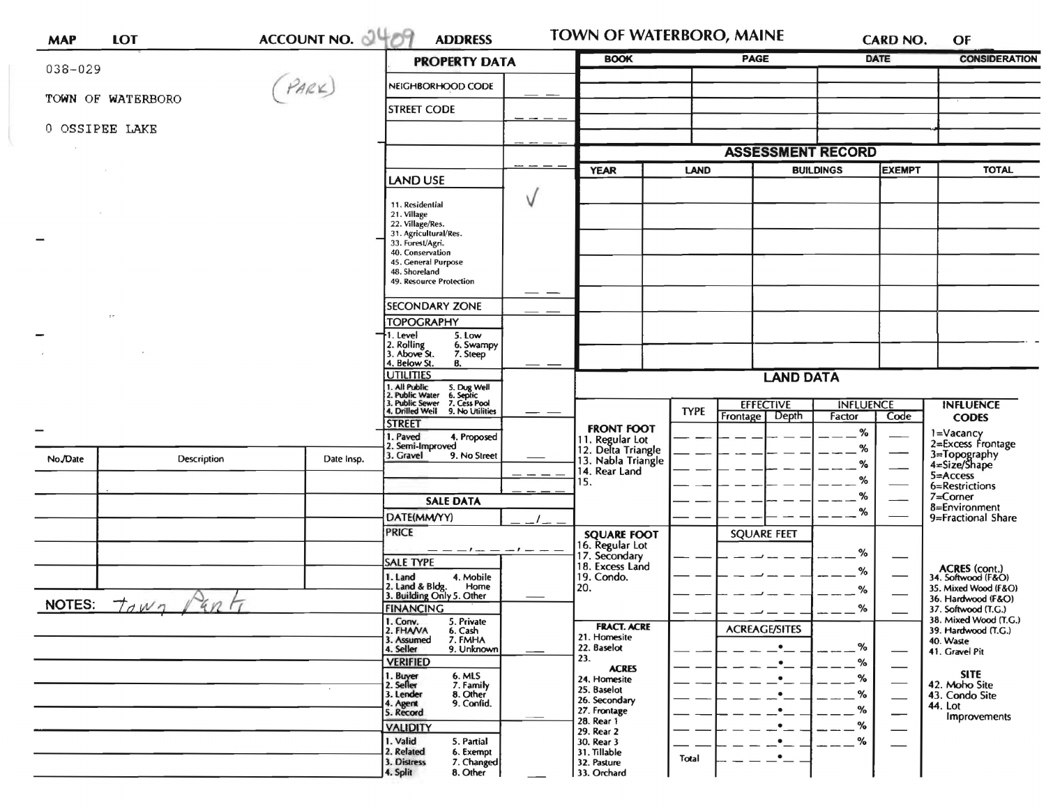| <b>MAP</b> | <b>LOT</b>                                  | ACCOUNT NO. 4409 | <b>ADDRESS</b>                                                                                 |                                                             | TOWN OF WATERBORO, MAINE                          | <b>CARD NO.</b>                    | OF                                                |  |
|------------|---------------------------------------------|------------------|------------------------------------------------------------------------------------------------|-------------------------------------------------------------|---------------------------------------------------|------------------------------------|---------------------------------------------------|--|
|            |                                             |                  | <b>PROPERTY DATA</b>                                                                           | <b>BOOK</b>                                                 | PAGE                                              | DATE                               | <b>CONSIDERATION</b>                              |  |
| 038-029    |                                             | PARK)            | NEIGHBORHOOD CODE                                                                              |                                                             |                                                   |                                    |                                                   |  |
|            | TOWN OF WATERBORO                           |                  | <b>STREET CODE</b>                                                                             |                                                             |                                                   |                                    |                                                   |  |
|            | 0 OSSIPEE LAKE                              |                  |                                                                                                |                                                             |                                                   |                                    |                                                   |  |
|            |                                             |                  |                                                                                                |                                                             | <b>ASSESSMENT RECORD</b>                          |                                    |                                                   |  |
|            |                                             |                  |                                                                                                | <b>YEAR</b>                                                 | LAND                                              | <b>BUILDINGS</b><br><b>EXEMPT</b>  | <b>TOTAL</b>                                      |  |
|            |                                             |                  | <b>LAND USE</b>                                                                                |                                                             |                                                   |                                    |                                                   |  |
|            |                                             |                  | 11. Residential                                                                                |                                                             |                                                   |                                    |                                                   |  |
|            |                                             |                  | 21. Village<br>22. Village/Res.                                                                |                                                             |                                                   |                                    |                                                   |  |
|            |                                             |                  | 31. Agricultural/Res.<br>33. Forest/Agri.                                                      |                                                             |                                                   |                                    |                                                   |  |
|            |                                             |                  | 40. Conservation<br>45. General Purpose                                                        |                                                             |                                                   |                                    |                                                   |  |
|            |                                             |                  | 48. Shoreland<br>49. Resource Protection                                                       |                                                             |                                                   |                                    |                                                   |  |
|            |                                             |                  | <b>SECONDARY ZONE</b>                                                                          |                                                             |                                                   |                                    |                                                   |  |
|            |                                             |                  | <b>TOPOGRAPHY</b>                                                                              |                                                             |                                                   |                                    |                                                   |  |
|            |                                             |                  | 1. Level<br>5. Low<br>6. Swampy                                                                |                                                             |                                                   |                                    |                                                   |  |
|            |                                             |                  | 2. Rolling<br>3. Above St.<br>7. Steep<br>4. Below St.<br>В.                                   |                                                             |                                                   |                                    |                                                   |  |
|            |                                             |                  | <b>UTILITIES</b>                                                                               | <b>LAND DATA</b>                                            |                                                   |                                    |                                                   |  |
|            |                                             |                  | 1. All Public<br>2. Public Water<br>5. Dug Well<br>6. Septic<br>. Public Sewer<br>7. Cess Pool |                                                             |                                                   |                                    |                                                   |  |
|            |                                             |                  | 4. Drilled Well<br>9. No Utilities                                                             |                                                             | <b>EFFECTIVE</b><br><b>TYPE</b><br>Frontage Depth | <b>INFLUENCE</b><br>Code<br>Factor | <b>INFLUENCE</b><br><b>CODES</b>                  |  |
|            |                                             |                  | <b>STREET</b><br>1. Paved<br>4. Proposed                                                       | <b>FRONT FOOT</b>                                           |                                                   | $\%$                               | 1=Vacancy                                         |  |
| No./Date   | Description                                 | Date Insp.       | 2. Semi-Improved<br>3. Gravel<br>9. No Street                                                  | 11. Regular Lot<br>12. Delta Triangle<br>13. Nabla Triangle |                                                   | %                                  | 2=Excess Frontage<br>3=Topography<br>4=Size/Shape |  |
|            |                                             |                  |                                                                                                | 14. Rear Land                                               |                                                   | %                                  | 5=Access                                          |  |
|            |                                             |                  |                                                                                                | 15.                                                         |                                                   | %<br>%                             | 6=Restrictions<br>7=Corner                        |  |
|            |                                             |                  | <b>SALE DATA</b><br>DATE(MM/YY)                                                                |                                                             |                                                   | %                                  | 8=Environment<br>9=Fractional Share               |  |
|            |                                             |                  | <b>PRICE</b>                                                                                   | <b>SQUARE FOOT</b>                                          | <b>SQUARE FEET</b>                                |                                    |                                                   |  |
|            |                                             |                  | $-1 - -1$                                                                                      | 16. Regular Lot                                             |                                                   | %                                  |                                                   |  |
|            |                                             |                  | <b>SALE TYPE</b>                                                                               | 17. Secondary<br>18. Excess Land                            |                                                   | %                                  | ACRES (cont.)<br>34. Softwood (F&O)               |  |
|            |                                             |                  | 1. Land<br>4. Mobile<br>2. Land & Bldg. Home<br>3. Building Only 5. Other<br>Home              | 19. Condo.<br>20.                                           |                                                   | %                                  | 35. Mixed Wood (F&O)                              |  |
|            | NOTES: $\tau_{\alpha}$ $\mu_{\gamma}$<br>4n |                  | <b>FINANCING</b>                                                                               |                                                             |                                                   | %                                  | 36. Hardwood (F&O)<br>37. Softwood (T.G.)         |  |
|            |                                             |                  | 1. Conv.<br>2. FHAVA<br>5. Private<br>6. Cash                                                  | <b>FRACT. ACRE</b>                                          | <b>ACREAGE/SITES</b>                              |                                    | 38. Mixed Wood (T.G.)<br>39. Hardwood (T.G.)      |  |
|            |                                             |                  | 3. Assumed<br>7. FMHA<br>4. Seller<br>9. Unknown                                               | 21. Homesite<br>22. Baselot                                 | $\bullet$                                         | %                                  | 40. Waste                                         |  |
|            |                                             |                  | <b>VERIFIED</b>                                                                                | 23.<br><b>ACRES</b>                                         | $\cdot$ $\_$                                      | %                                  | 41. Gravel Pit                                    |  |
|            |                                             |                  | 1. Buyer<br>2. Seller<br>6. MLS<br>7. Family                                                   | 24. Homesite                                                | $\bullet$                                         | %                                  | <b>SITE</b><br>42. Moho Site                      |  |
|            |                                             |                  | 3. Lender<br>8. Other<br>9. Confid.<br>4. Agent                                                | 25. Baselot<br>26. Secondary                                | $\bullet$                                         | %                                  | 43. Condo Site<br>44. Lot                         |  |
|            |                                             |                  | 5. Record                                                                                      | 27. Frontage<br>28. Rear 1                                  | $\bullet$                                         | %<br>--                            | Improvements                                      |  |
|            |                                             |                  | <b>VALIDITY</b><br>1. Valid<br>5. Partial                                                      | 29. Rear 2<br>30. Rear 3                                    | $\bullet_{--}$<br>$\bullet_{--}$                  | %<br>%                             |                                                   |  |
|            |                                             |                  | 2. Related<br>6. Exempt<br>3. Distress<br>7. Changed                                           | 31. Tillable<br>32. Pasture                                 | $\cdot$ $\cdot$<br>Total                          |                                    |                                                   |  |
|            |                                             |                  | 4. Split<br>8. Other                                                                           | 33. Orchard                                                 |                                                   |                                    |                                                   |  |